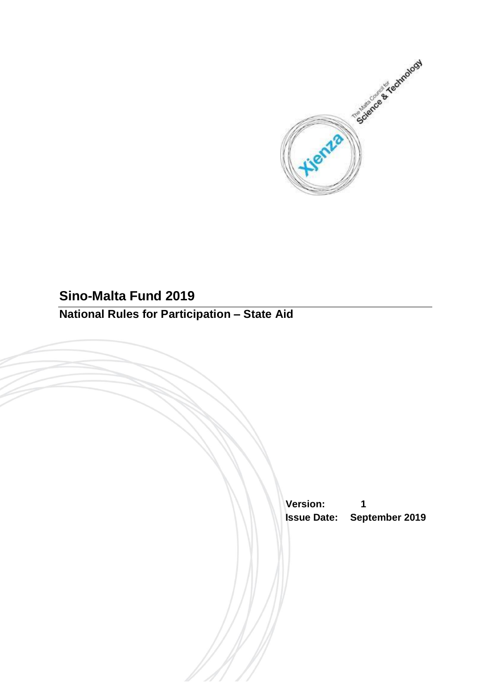

# **Sino-Malta Fund 2019**

# **National Rules for Participation – State Aid**

 **Version: 1 Issue Date: September 2019**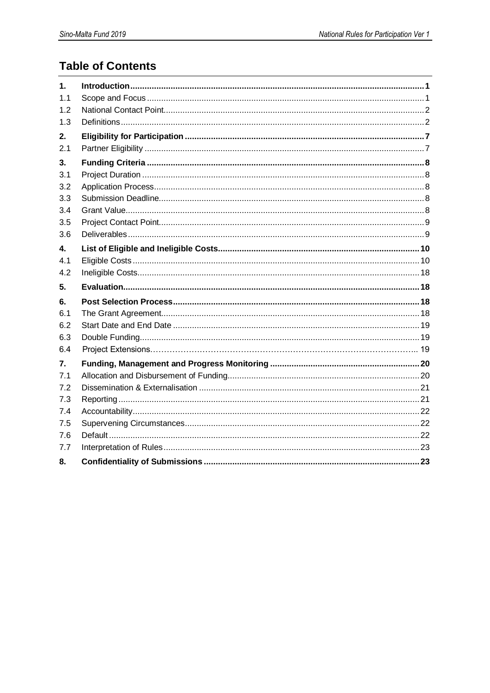## **Table of Contents**

| 1.  |  |
|-----|--|
| 1.1 |  |
| 1.2 |  |
| 1.3 |  |
| 2.  |  |
| 2.1 |  |
| 3.  |  |
| 3.1 |  |
| 3.2 |  |
| 3.3 |  |
| 3.4 |  |
| 3.5 |  |
| 3.6 |  |
| 4.  |  |
| 4.1 |  |
| 4.2 |  |
| 5.  |  |
| 6.  |  |
| 6.1 |  |
| 6.2 |  |
| 6.3 |  |
| 6.4 |  |
| 7.  |  |
| 7.1 |  |
| 7.2 |  |
| 7.3 |  |
| 7.4 |  |
| 7.5 |  |
| 7.6 |  |
| 7.7 |  |
|     |  |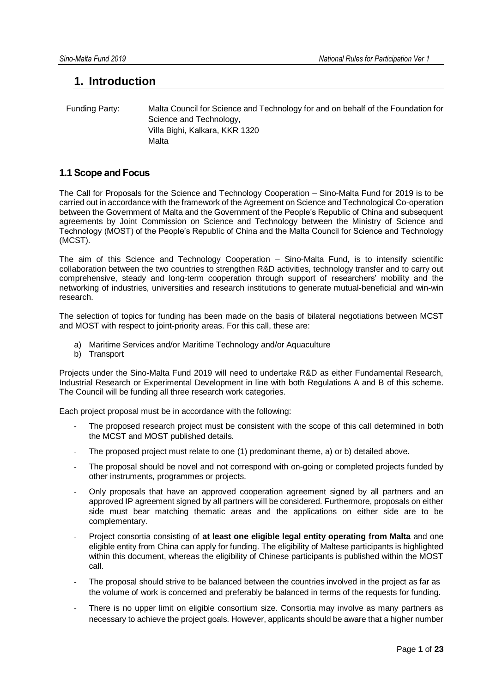## <span id="page-2-0"></span>**1. Introduction**

 Funding Party: Malta Council for Science and Technology for and on behalf of the Foundation for Science and Technology, Villa Bighi, Kalkara, KKR 1320 Malta

## <span id="page-2-1"></span>**1.1 Scope and Focus**

The Call for Proposals for the Science and Technology Cooperation – Sino-Malta Fund for 2019 is to be carried out in accordance with the framework of the Agreement on Science and Technological Co-operation between the Government of Malta and the Government of the People's Republic of China and subsequent agreements by Joint Commission on Science and Technology between the Ministry of Science and Technology (MOST) of the People's Republic of China and the Malta Council for Science and Technology (MCST).

The aim of this Science and Technology Cooperation – Sino-Malta Fund, is to intensify scientific collaboration between the two countries to strengthen R&D activities, technology transfer and to carry out comprehensive, steady and long-term cooperation through support of researchers' mobility and the networking of industries, universities and research institutions to generate mutual-beneficial and win-win research.

The selection of topics for funding has been made on the basis of bilateral negotiations between MCST and MOST with respect to joint-priority areas. For this call, these are:

- a) Maritime Services and/or Maritime Technology and/or Aquaculture
- b) Transport

Projects under the Sino-Malta Fund 2019 will need to undertake R&D as either Fundamental Research, Industrial Research or Experimental Development in line with both Regulations A and B of this scheme. The Council will be funding all three research work categories.

Each project proposal must be in accordance with the following:

- The proposed research project must be consistent with the scope of this call determined in both the MCST and MOST published details.
- The proposed project must relate to one (1) predominant theme, a) or b) detailed above.
- The proposal should be novel and not correspond with on-going or completed projects funded by other instruments, programmes or projects.
- Only proposals that have an approved cooperation agreement signed by all partners and an approved IP agreement signed by all partners will be considered. Furthermore, proposals on either side must bear matching thematic areas and the applications on either side are to be complementary.
- Project consortia consisting of **at least one eligible legal entity operating from Malta** and one eligible entity from China can apply for funding. The eligibility of Maltese participants is highlighted within this document, whereas the eligibility of Chinese participants is published within the MOST call.
- The proposal should strive to be balanced between the countries involved in the project as far as the volume of work is concerned and preferably be balanced in terms of the requests for funding.
- There is no upper limit on eligible consortium size. Consortia may involve as many partners as necessary to achieve the project goals. However, applicants should be aware that a higher number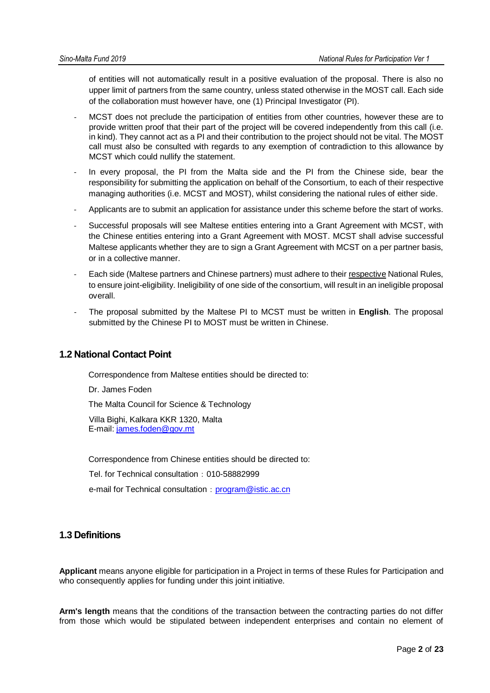of entities will not automatically result in a positive evaluation of the proposal. There is also no upper limit of partners from the same country, unless stated otherwise in the MOST call. Each side of the collaboration must however have, one (1) Principal Investigator (PI).

- MCST does not preclude the participation of entities from other countries, however these are to provide written proof that their part of the project will be covered independently from this call (i.e. in kind). They cannot act as a PI and their contribution to the project should not be vital. The MOST call must also be consulted with regards to any exemption of contradiction to this allowance by MCST which could nullify the statement.
- In every proposal, the PI from the Malta side and the PI from the Chinese side, bear the responsibility for submitting the application on behalf of the Consortium, to each of their respective managing authorities (i.e. MCST and MOST), whilst considering the national rules of either side.
- Applicants are to submit an application for assistance under this scheme before the start of works.
- Successful proposals will see Maltese entities entering into a Grant Agreement with MCST, with the Chinese entities entering into a Grant Agreement with MOST. MCST shall advise successful Maltese applicants whether they are to sign a Grant Agreement with MCST on a per partner basis, or in a collective manner.
- Each side (Maltese partners and Chinese partners) must adhere to their respective National Rules, to ensure joint-eligibility. Ineligibility of one side of the consortium, will result in an ineligible proposal overall.
- The proposal submitted by the Maltese PI to MCST must be written in **English**. The proposal submitted by the Chinese PI to MOST must be written in Chinese.

## <span id="page-3-0"></span>**1.2 National Contact Point**

Correspondence from Maltese entities should be directed to:

Dr. James Foden

The Malta Council for Science & Technology

Villa Bighi, Kalkara KKR 1320, Malta E-mail: [james.foden@gov.mt](mailto:james.foden@gov.mt)

Correspondence from Chinese entities should be directed to:

Tel. for Technical consultation: 010-58882999

e-mail for Technical consultation: [program@istic.ac.cn](mailto:program@istic.ac.cn)

### <span id="page-3-1"></span>**1.3 Definitions**

**Applicant** means anyone eligible for participation in a Project in terms of these Rules for Participation and who consequently applies for funding under this joint initiative.

**Arm's length** means that the conditions of the transaction between the contracting parties do not differ from those which would be stipulated between independent enterprises and contain no element of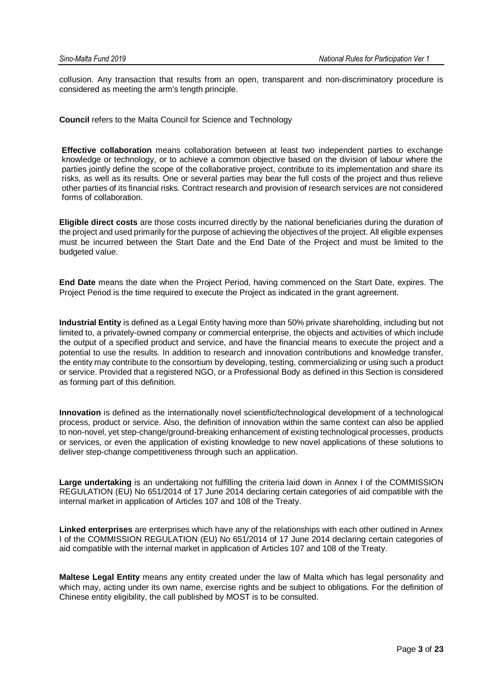collusion. Any transaction that results from an open, transparent and non-discriminatory procedure is considered as meeting the arm's length principle.

**Council** refers to the Malta Council for Science and Technology

**Effective collaboration** means collaboration between at least two independent parties to exchange knowledge or technology, or to achieve a common objective based on the division of labour where the parties jointly define the scope of the collaborative project, contribute to its implementation and share its risks, as well as its results. One or several parties may bear the full costs of the project and thus relieve other parties of its financial risks. Contract research and provision of research services are not considered forms of collaboration.

**Eligible direct costs** are those costs incurred directly by the national beneficiaries during the duration of the project and used primarily for the purpose of achieving the objectives of the project. All eligible expenses must be incurred between the Start Date and the End Date of the Project and must be limited to the budgeted value.

**End Date** means the date when the Project Period, having commenced on the Start Date, expires. The Project Period is the time required to execute the Project as indicated in the grant agreement.

**Industrial Entity** is defined as a Legal Entity having more than 50% private shareholding, including but not limited to, a privately-owned company or commercial enterprise, the objects and activities of which include the output of a specified product and service, and have the financial means to execute the project and a potential to use the results. In addition to research and innovation contributions and knowledge transfer, the entity may contribute to the consortium by developing, testing, commercializing or using such a product or service. Provided that a registered NGO, or a Professional Body as defined in this Section is considered as forming part of this definition.

**Innovation** is defined as the internationally novel scientific/technological development of a technological process, product or service. Also, the definition of innovation within the same context can also be applied to non-novel, yet step-change/ground-breaking enhancement of existing technological processes, products or services, or even the application of existing knowledge to new novel applications of these solutions to deliver step-change competitiveness through such an application.

**Large undertaking** is an undertaking not fulfilling the criteria laid down in Annex I of the COMMISSION REGULATION (EU) No 651/2014 of 17 June 2014 declaring certain categories of aid compatible with the internal market in application of Articles 107 and 108 of the Treaty.

**Linked enterprises** are enterprises which have any of the relationships with each other outlined in Annex I of the COMMISSION REGULATION (EU) No 651/2014 of 17 June 2014 declaring certain categories of aid compatible with the internal market in application of Articles 107 and 108 of the Treaty.

**Maltese Legal Entity** means any entity created under the law of Malta which has legal personality and which may, acting under its own name, exercise rights and be subject to obligations. For the definition of Chinese entity eligibility, the call published by MOST is to be consulted.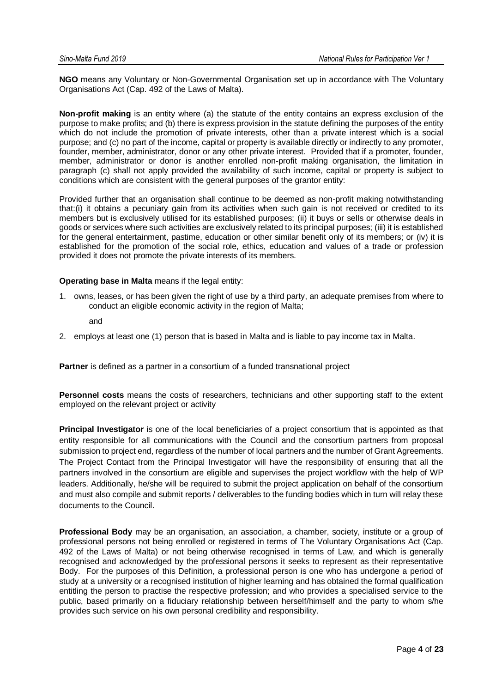**NGO** means any Voluntary or Non-Governmental Organisation set up in accordance with The Voluntary Organisations Act (Cap. 492 of the Laws of Malta).

**Non-profit making** is an entity where (a) the statute of the entity contains an express exclusion of the purpose to make profits; and (b) there is express provision in the statute defining the purposes of the entity which do not include the promotion of private interests, other than a private interest which is a social purpose; and (c) no part of the income, capital or property is available directly or indirectly to any promoter, founder, member, administrator, donor or any other private interest. Provided that if a promoter, founder, member, administrator or donor is another enrolled non-profit making organisation, the limitation in paragraph (c) shall not apply provided the availability of such income, capital or property is subject to conditions which are consistent with the general purposes of the grantor entity:

Provided further that an organisation shall continue to be deemed as non-profit making notwithstanding that:(i) it obtains a pecuniary gain from its activities when such gain is not received or credited to its members but is exclusively utilised for its established purposes; (ii) it buys or sells or otherwise deals in goods or services where such activities are exclusively related to its principal purposes; (iii) it is established for the general entertainment, pastime, education or other similar benefit only of its members; or (iv) it is established for the promotion of the social role, ethics, education and values of a trade or profession provided it does not promote the private interests of its members.

**Operating base in Malta** means if the legal entity:

1. owns, leases, or has been given the right of use by a third party, an adequate premises from where to conduct an eligible economic activity in the region of Malta;

and

2. employs at least one (1) person that is based in Malta and is liable to pay income tax in Malta.

**Partner** is defined as a partner in a consortium of a funded transnational project

**Personnel costs** means the costs of researchers, technicians and other supporting staff to the extent employed on the relevant project or activity

**Principal Investigator** is one of the local beneficiaries of a project consortium that is appointed as that entity responsible for all communications with the Council and the consortium partners from proposal submission to project end, regardless of the number of local partners and the number of Grant Agreements. The Project Contact from the Principal Investigator will have the responsibility of ensuring that all the partners involved in the consortium are eligible and supervises the project workflow with the help of WP leaders. Additionally, he/she will be required to submit the project application on behalf of the consortium and must also compile and submit reports / deliverables to the funding bodies which in turn will relay these documents to the Council.

**Professional Body** may be an organisation, an association, a chamber, society, institute or a group of professional persons not being enrolled or registered in terms of The Voluntary Organisations Act (Cap. 492 of the Laws of Malta) or not being otherwise recognised in terms of Law, and which is generally recognised and acknowledged by the professional persons it seeks to represent as their representative Body. For the purposes of this Definition, a professional person is one who has undergone a period of study at a university or a recognised institution of higher learning and has obtained the formal qualification entitling the person to practise the respective profession; and who provides a specialised service to the public, based primarily on a fiduciary relationship between herself/himself and the party to whom s/he provides such service on his own personal credibility and responsibility.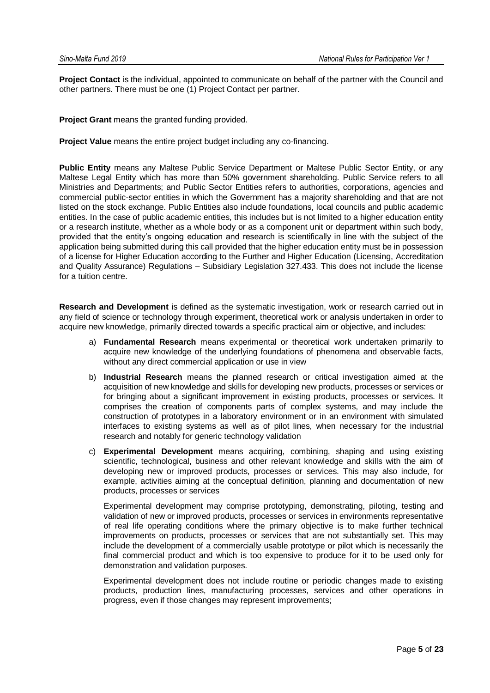**Project Contact** is the individual, appointed to communicate on behalf of the partner with the Council and other partners. There must be one (1) Project Contact per partner.

**Project Grant** means the granted funding provided.

**Project Value** means the entire project budget including any co-financing.

**Public Entity** means any Maltese Public Service Department or Maltese Public Sector Entity, or any Maltese Legal Entity which has more than 50% government shareholding. Public Service refers to all Ministries and Departments; and Public Sector Entities refers to authorities, corporations, agencies and commercial public-sector entities in which the Government has a majority shareholding and that are not listed on the stock exchange. Public Entities also include foundations, local councils and public academic entities. In the case of public academic entities, this includes but is not limited to a higher education entity or a research institute, whether as a whole body or as a component unit or department within such body, provided that the entity's ongoing education and research is scientifically in line with the subject of the application being submitted during this call provided that the higher education entity must be in possession of a license for Higher Education according to the Further and Higher Education (Licensing, Accreditation and Quality Assurance) Regulations – Subsidiary Legislation 327.433. This does not include the license for a tuition centre.

**Research and Development** is defined as the systematic investigation, work or research carried out in any field of science or technology through experiment, theoretical work or analysis undertaken in order to acquire new knowledge, primarily directed towards a specific practical aim or objective, and includes:

- a) **Fundamental Research** means experimental or theoretical work undertaken primarily to acquire new knowledge of the underlying foundations of phenomena and observable facts, without any direct commercial application or use in view
- b) **Industrial Research** means the planned research or critical investigation aimed at the acquisition of new knowledge and skills for developing new products, processes or services or for bringing about a significant improvement in existing products, processes or services. It comprises the creation of components parts of complex systems, and may include the construction of prototypes in a laboratory environment or in an environment with simulated interfaces to existing systems as well as of pilot lines, when necessary for the industrial research and notably for generic technology validation
- c) **Experimental Development** means acquiring, combining, shaping and using existing scientific, technological, business and other relevant knowledge and skills with the aim of developing new or improved products, processes or services. This may also include, for example, activities aiming at the conceptual definition, planning and documentation of new products, processes or services

Experimental development may comprise prototyping, demonstrating, piloting, testing and validation of new or improved products, processes or services in environments representative of real life operating conditions where the primary objective is to make further technical improvements on products, processes or services that are not substantially set. This may include the development of a commercially usable prototype or pilot which is necessarily the final commercial product and which is too expensive to produce for it to be used only for demonstration and validation purposes.

Experimental development does not include routine or periodic changes made to existing products, production lines, manufacturing processes, services and other operations in progress, even if those changes may represent improvements;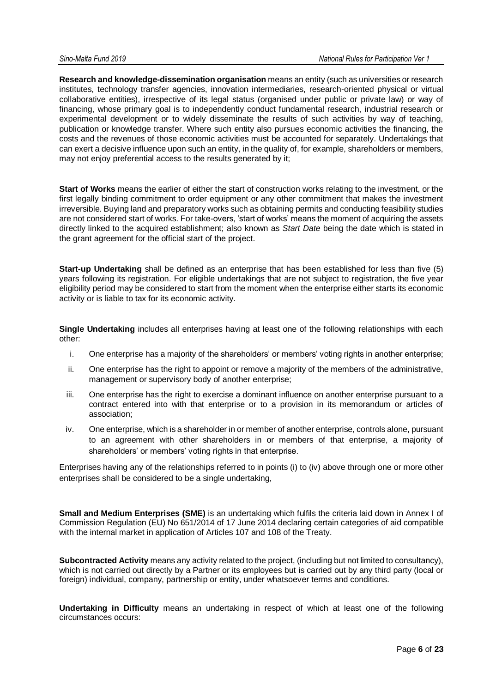**Research and knowledge-dissemination organisation** means an entity (such as universities or research institutes, technology transfer agencies, innovation intermediaries, research-oriented physical or virtual collaborative entities), irrespective of its legal status (organised under public or private law) or way of financing, whose primary goal is to independently conduct fundamental research, industrial research or experimental development or to widely disseminate the results of such activities by way of teaching, publication or knowledge transfer. Where such entity also pursues economic activities the financing, the costs and the revenues of those economic activities must be accounted for separately. Undertakings that can exert a decisive influence upon such an entity, in the quality of, for example, shareholders or members, may not enjoy preferential access to the results generated by it;

**Start of Works** means the earlier of either the start of construction works relating to the investment, or the first legally binding commitment to order equipment or any other commitment that makes the investment irreversible. Buying land and preparatory works such as obtaining permits and conducting feasibility studies are not considered start of works. For take-overs, 'start of works' means the moment of acquiring the assets directly linked to the acquired establishment; also known as *Start Date* being the date which is stated in the grant agreement for the official start of the project.

**Start-up Undertaking** shall be defined as an enterprise that has been established for less than five (5) years following its registration. For eligible undertakings that are not subject to registration, the five year eligibility period may be considered to start from the moment when the enterprise either starts its economic activity or is liable to tax for its economic activity.

**Single Undertaking** includes all enterprises having at least one of the following relationships with each other:

- i. One enterprise has a majority of the shareholders' or members' voting rights in another enterprise;
- ii. One enterprise has the right to appoint or remove a majority of the members of the administrative, management or supervisory body of another enterprise;
- iii. One enterprise has the right to exercise a dominant influence on another enterprise pursuant to a contract entered into with that enterprise or to a provision in its memorandum or articles of association;
- iv. One enterprise, which is a shareholder in or member of another enterprise, controls alone, pursuant to an agreement with other shareholders in or members of that enterprise, a majority of shareholders' or members' voting rights in that enterprise.

Enterprises having any of the relationships referred to in points (i) to (iv) above through one or more other enterprises shall be considered to be a single undertaking,

**Small and Medium Enterprises (SME)** is an undertaking which fulfils the criteria laid down in Annex I of Commission Regulation (EU) No 651/2014 of 17 June 2014 declaring certain categories of aid compatible with the internal market in application of Articles 107 and 108 of the Treaty.

**Subcontracted Activity** means any activity related to the project, (including but not limited to consultancy), which is not carried out directly by a Partner or its employees but is carried out by any third party (local or foreign) individual, company, partnership or entity, under whatsoever terms and conditions.

**Undertaking in Difficulty** means an undertaking in respect of which at least one of the following circumstances occurs: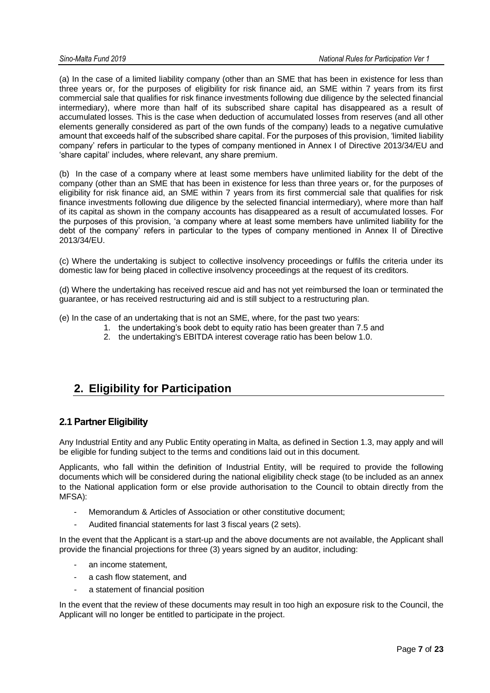(a) In the case of a limited liability company (other than an SME that has been in existence for less than three years or, for the purposes of eligibility for risk finance aid, an SME within 7 years from its first commercial sale that qualifies for risk finance investments following due diligence by the selected financial intermediary), where more than half of its subscribed share capital has disappeared as a result of accumulated losses. This is the case when deduction of accumulated losses from reserves (and all other elements generally considered as part of the own funds of the company) leads to a negative cumulative amount that exceeds half of the subscribed share capital. For the purposes of this provision, 'limited liability company' refers in particular to the types of company mentioned in Annex I of Directive 2013/34/EU and 'share capital' includes, where relevant, any share premium.

(b) In the case of a company where at least some members have unlimited liability for the debt of the company (other than an SME that has been in existence for less than three years or, for the purposes of eligibility for risk finance aid, an SME within 7 years from its first commercial sale that qualifies for risk finance investments following due diligence by the selected financial intermediary), where more than half of its capital as shown in the company accounts has disappeared as a result of accumulated losses. For the purposes of this provision, 'a company where at least some members have unlimited liability for the debt of the company' refers in particular to the types of company mentioned in Annex II of Directive 2013/34/EU.

(c) Where the undertaking is subject to collective insolvency proceedings or fulfils the criteria under its domestic law for being placed in collective insolvency proceedings at the request of its creditors.

(d) Where the undertaking has received rescue aid and has not yet reimbursed the loan or terminated the guarantee, or has received restructuring aid and is still subject to a restructuring plan.

(e) In the case of an undertaking that is not an SME, where, for the past two years:

- 1. the undertaking's book debt to equity ratio has been greater than 7.5 and
- 2. the undertaking's EBITDA interest coverage ratio has been below 1.0.

## <span id="page-8-0"></span>**2. Eligibility for Participation**

## <span id="page-8-1"></span>**2.1 Partner Eligibility**

Any Industrial Entity and any Public Entity operating in Malta, as defined in Section 1.3, may apply and will be eligible for funding subject to the terms and conditions laid out in this document*.*

Applicants, who fall within the definition of Industrial Entity, will be required to provide the following documents which will be considered during the national eligibility check stage (to be included as an annex to the National application form or else provide authorisation to the Council to obtain directly from the MFSA):

- Memorandum & Articles of Association or other constitutive document:
- Audited financial statements for last 3 fiscal years (2 sets).

In the event that the Applicant is a start-up and the above documents are not available, the Applicant shall provide the financial projections for three (3) years signed by an auditor, including:

- an income statement.
- a cash flow statement, and
- a statement of financial position

In the event that the review of these documents may result in too high an exposure risk to the Council, the Applicant will no longer be entitled to participate in the project.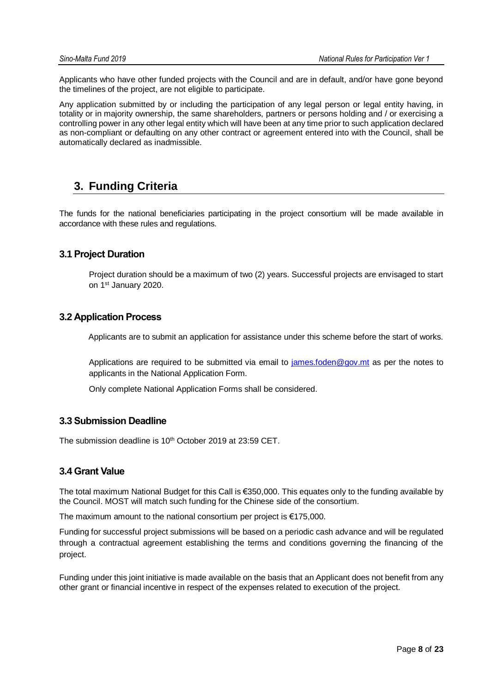Applicants who have other funded projects with the Council and are in default, and/or have gone beyond the timelines of the project, are not eligible to participate.

Any application submitted by or including the participation of any legal person or legal entity having, in totality or in majority ownership, the same shareholders, partners or persons holding and / or exercising a controlling power in any other legal entity which will have been at any time prior to such application declared as non-compliant or defaulting on any other contract or agreement entered into with the Council, shall be automatically declared as inadmissible.

## <span id="page-9-0"></span>**3. Funding Criteria**

The funds for the national beneficiaries participating in the project consortium will be made available in accordance with these rules and regulations.

## <span id="page-9-1"></span>**3.1 Project Duration**

Project duration should be a maximum of two (2) years. Successful projects are envisaged to start on 1<sup>st</sup> January 2020.

### <span id="page-9-2"></span>**3.2 Application Process**

Applicants are to submit an application for assistance under this scheme before the start of works.

Applications are required to be submitted via email to  $\frac{1}{2}$  ames.foden@gov.mt as per the notes to applicants in the National Application Form.

Only complete National Application Forms shall be considered.

## <span id="page-9-3"></span>**3.3 Submission Deadline**

<span id="page-9-4"></span>The submission deadline is 10<sup>th</sup> October 2019 at 23:59 CET.

### **3.4 Grant Value**

The total maximum National Budget for this Call is €350,000. This equates only to the funding available by the Council. MOST will match such funding for the Chinese side of the consortium.

The maximum amount to the national consortium per project is €175,000.

Funding for successful project submissions will be based on a periodic cash advance and will be regulated through a contractual agreement establishing the terms and conditions governing the financing of the project.

Funding under this joint initiative is made available on the basis that an Applicant does not benefit from any other grant or financial incentive in respect of the expenses related to execution of the project.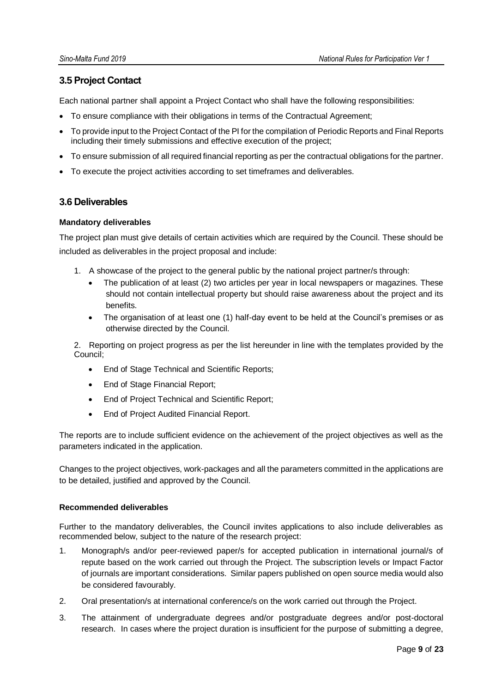## <span id="page-10-0"></span>**3.5 Project Contact**

Each national partner shall appoint a Project Contact who shall have the following responsibilities:

- To ensure compliance with their obligations in terms of the Contractual Agreement;
- To provide input to the Project Contact of the PI for the compilation of Periodic Reports and Final Reports including their timely submissions and effective execution of the project;
- To ensure submission of all required financial reporting as per the contractual obligations for the partner.
- <span id="page-10-1"></span>• To execute the project activities according to set timeframes and deliverables.

## **3.6 Deliverables**

#### **Mandatory deliverables**

The project plan must give details of certain activities which are required by the Council. These should be included as deliverables in the project proposal and include:

- 1. A showcase of the project to the general public by the national project partner/s through:
	- The publication of at least (2) two articles per year in local newspapers or magazines. These should not contain intellectual property but should raise awareness about the project and its benefits.
	- The organisation of at least one (1) half-day event to be held at the Council's premises or as otherwise directed by the Council.

2. Reporting on project progress as per the list hereunder in line with the templates provided by the Council;

- End of Stage Technical and Scientific Reports;
- End of Stage Financial Report;
- End of Project Technical and Scientific Report;
- End of Project Audited Financial Report.

The reports are to include sufficient evidence on the achievement of the project objectives as well as the parameters indicated in the application.

Changes to the project objectives, work-packages and all the parameters committed in the applications are to be detailed, justified and approved by the Council.

### **Recommended deliverables**

Further to the mandatory deliverables, the Council invites applications to also include deliverables as recommended below, subject to the nature of the research project:

- 1. Monograph/s and/or peer-reviewed paper/s for accepted publication in international journal/s of repute based on the work carried out through the Project. The subscription levels or Impact Factor of journals are important considerations. Similar papers published on open source media would also be considered favourably.
- 2. Oral presentation/s at international conference/s on the work carried out through the Project.
- 3. The attainment of undergraduate degrees and/or postgraduate degrees and/or post-doctoral research. In cases where the project duration is insufficient for the purpose of submitting a degree,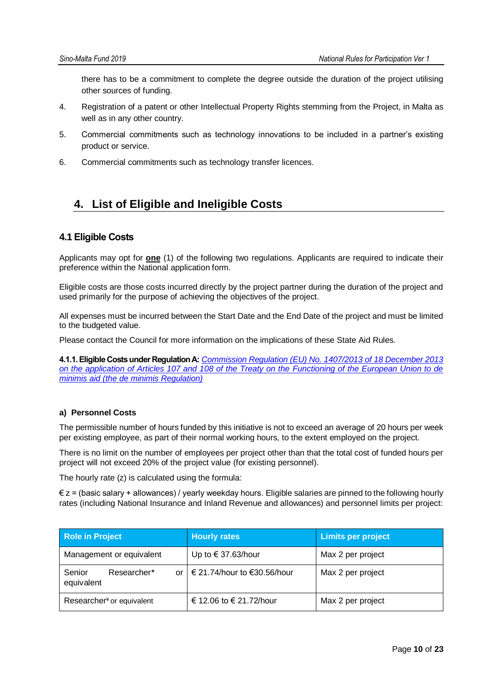there has to be a commitment to complete the degree outside the duration of the project utilising other sources of funding.

- 4. Registration of a patent or other Intellectual Property Rights stemming from the Project, in Malta as well as in any other country.
- 5. Commercial commitments such as technology innovations to be included in a partner's existing product or service.
- 6. Commercial commitments such as technology transfer licences.

## <span id="page-11-0"></span>**4. List of Eligible and Ineligible Costs**

## <span id="page-11-1"></span>**4.1 Eligible Costs**

Applicants may opt for **one** (1) of the following two regulations. Applicants are required to indicate their preference within the National application form.

Eligible costs are those costs incurred directly by the project partner during the duration of the project and used primarily for the purpose of achieving the objectives of the project.

All expenses must be incurred between the Start Date and the End Date of the project and must be limited to the budgeted value.

Please contact the Council for more information on the implications of these State Aid Rules.

**4.1.1. Eligible Costs under RegulationA:** *[Commission Regulation \(EU\) No. 1407/2013 of 18 December 2013](http://ec.europa.eu/competition/state_aid/legislation/de_minimis_regulation_en.pdf)  [on the application of Articles 107 and 108 of the Treaty on the Functioning of the European Union to de](http://ec.europa.eu/competition/state_aid/legislation/de_minimis_regulation_en.pdf)  [minimis aid \(the de minimis Regulation\)](http://ec.europa.eu/competition/state_aid/legislation/de_minimis_regulation_en.pdf)*

#### **a) Personnel Costs**

The permissible number of hours funded by this initiative is not to exceed an average of 20 hours per week per existing employee, as part of their normal working hours, to the extent employed on the project.

There is no limit on the number of employees per project other than that the total cost of funded hours per project will not exceed 20% of the project value (for existing personnel).

The hourly rate (z) is calculated using the formula:

 $\epsilon$  z = (basic salary + allowances) / yearly weekday hours. Eligible salaries are pinned to the following hourly rates (including National Insurance and Inland Revenue and allowances) and personnel limits per project:

| <b>Role in Project</b>                    | <b>Hourly rates</b>                 | <b>Limits per project</b> |
|-------------------------------------------|-------------------------------------|---------------------------|
| Management or equivalent                  | Up to $\in$ 37.63/hour              | Max 2 per project         |
| Senior<br>Researcher*<br>or<br>equivalent | $\vert$ € 21.74/hour to €30.56/hour | Max 2 per project         |
| Researcher <sup>¥</sup> or equivalent     | € 12.06 to € 21.72/hour             | Max 2 per project         |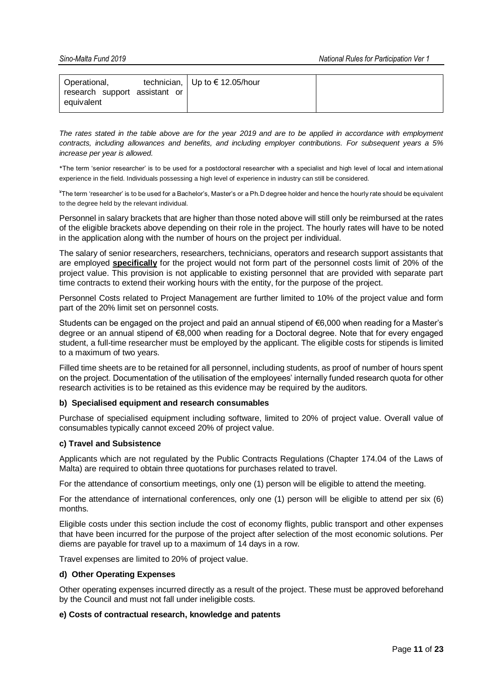| Operational,<br>research support assistant or<br>equivalent | technician, $ $ Up to $\in$ 12.05/hour |  |
|-------------------------------------------------------------|----------------------------------------|--|
|-------------------------------------------------------------|----------------------------------------|--|

*The rates stated in the table above are for the year 2019 and are to be applied in accordance with employment contracts, including allowances and benefits, and including employer contributions. For subsequent years a 5% increase per year is allowed.* 

\*The term 'senior researcher' is to be used for a postdoctoral researcher with a specialist and high level of local and international experience in the field. Individuals possessing a high level of experience in industry can still be considered.

¥The term 'researcher' is to be used for a Bachelor's, Master's or a Ph.D degree holder and hence the hourly rate should be equivalent to the degree held by the relevant individual.

Personnel in salary brackets that are higher than those noted above will still only be reimbursed at the rates of the eligible brackets above depending on their role in the project. The hourly rates will have to be noted in the application along with the number of hours on the project per individual.

The salary of senior researchers, researchers, technicians, operators and research support assistants that are employed **specifically** for the project would not form part of the personnel costs limit of 20% of the project value. This provision is not applicable to existing personnel that are provided with separate part time contracts to extend their working hours with the entity, for the purpose of the project.

Personnel Costs related to Project Management are further limited to 10% of the project value and form part of the 20% limit set on personnel costs.

Students can be engaged on the project and paid an annual stipend of €6,000 when reading for a Master's degree or an annual stipend of €8,000 when reading for a Doctoral degree. Note that for every engaged student, a full-time researcher must be employed by the applicant. The eligible costs for stipends is limited to a maximum of two years.

Filled time sheets are to be retained for all personnel, including students, as proof of number of hours spent on the project. Documentation of the utilisation of the employees' internally funded research quota for other research activities is to be retained as this evidence may be required by the auditors.

#### **b) Specialised equipment and research consumables**

Purchase of specialised equipment including software, limited to 20% of project value. Overall value of consumables typically cannot exceed 20% of project value.

#### **c) Travel and Subsistence**

Applicants which are not regulated by the Public Contracts Regulations (Chapter 174.04 of the Laws of Malta) are required to obtain three quotations for purchases related to travel.

For the attendance of consortium meetings, only one (1) person will be eligible to attend the meeting.

For the attendance of international conferences, only one (1) person will be eligible to attend per six (6) months.

Eligible costs under this section include the cost of economy flights, public transport and other expenses that have been incurred for the purpose of the project after selection of the most economic solutions. Per diems are payable for travel up to a maximum of 14 days in a row.

Travel expenses are limited to 20% of project value.

#### **d) Other Operating Expenses**

Other operating expenses incurred directly as a result of the project. These must be approved beforehand by the Council and must not fall under ineligible costs.

#### **e) Costs of contractual research, knowledge and patents**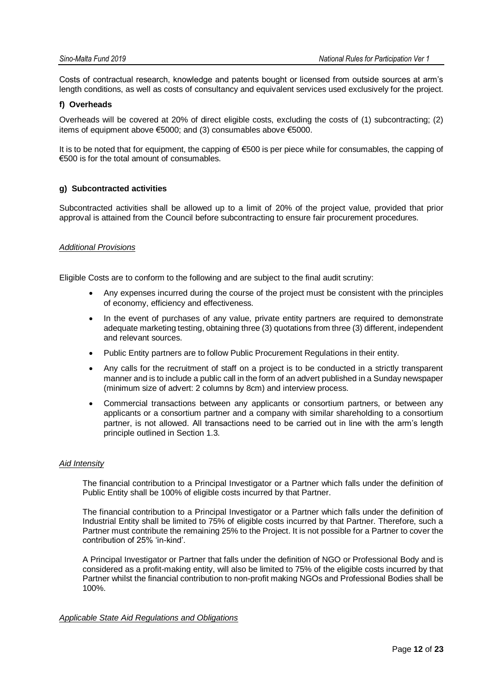Costs of contractual research, knowledge and patents bought or licensed from outside sources at arm's length conditions, as well as costs of consultancy and equivalent services used exclusively for the project.

#### **f) Overheads**

Overheads will be covered at 20% of direct eligible costs, excluding the costs of (1) subcontracting; (2) items of equipment above €5000; and (3) consumables above €5000.

It is to be noted that for equipment, the capping of €500 is per piece while for consumables, the capping of €500 is for the total amount of consumables.

#### **g) Subcontracted activities**

Subcontracted activities shall be allowed up to a limit of 20% of the project value, provided that prior approval is attained from the Council before subcontracting to ensure fair procurement procedures.

#### *Additional Provisions*

Eligible Costs are to conform to the following and are subject to the final audit scrutiny:

- Any expenses incurred during the course of the project must be consistent with the principles of economy, efficiency and effectiveness.
- In the event of purchases of any value, private entity partners are required to demonstrate adequate marketing testing, obtaining three (3) quotations from three (3) different, independent and relevant sources.
- Public Entity partners are to follow Public Procurement Regulations in their entity.
- Any calls for the recruitment of staff on a project is to be conducted in a strictly transparent manner and is to include a public call in the form of an advert published in a Sunday newspaper (minimum size of advert: 2 columns by 8cm) and interview process.
- Commercial transactions between any applicants or consortium partners, or between any applicants or a consortium partner and a company with similar shareholding to a consortium partner, is not allowed. All transactions need to be carried out in line with the arm's length principle outlined in Section 1.3.

#### *Aid Intensity*

The financial contribution to a Principal Investigator or a Partner which falls under the definition of Public Entity shall be 100% of eligible costs incurred by that Partner.

The financial contribution to a Principal Investigator or a Partner which falls under the definition of Industrial Entity shall be limited to 75% of eligible costs incurred by that Partner. Therefore, such a Partner must contribute the remaining 25% to the Project. It is not possible for a Partner to cover the contribution of 25% 'in-kind'.

A Principal Investigator or Partner that falls under the definition of NGO or Professional Body and is considered as a profit-making entity, will also be limited to 75% of the eligible costs incurred by that Partner whilst the financial contribution to non-profit making NGOs and Professional Bodies shall be 100%.

#### *Applicable State Aid Regulations and Obligations*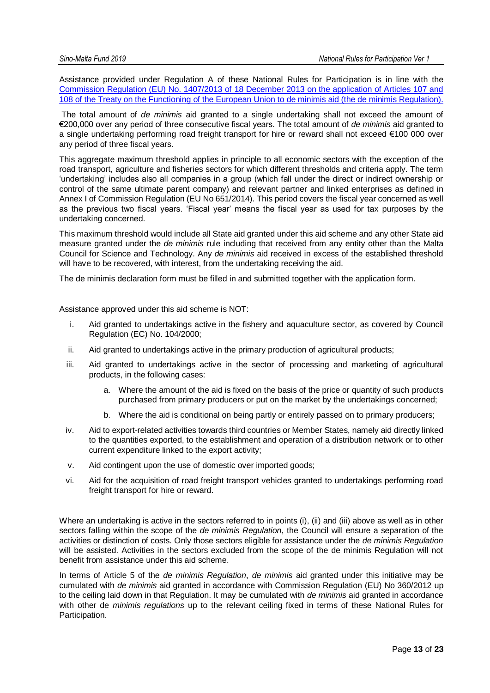Assistance provided under Regulation A of these National Rules for Participation is in line with the [Commission Regulation \(EU\) No. 1407/2013 of 18 December 2013 on the application of Articles 107 and](http://ec.europa.eu/competition/state_aid/legislation/de_minimis_regulation_en.pdf)  [108 of the Treaty on the Functioning of the European Union to de minimis aid \(the de minimis Regulation\).](http://ec.europa.eu/competition/state_aid/legislation/de_minimis_regulation_en.pdf)

The total amount of *de minimis* aid granted to a single undertaking shall not exceed the amount of €200,000 over any period of three consecutive fiscal years. The total amount of *de minimis* aid granted to a single undertaking performing road freight transport for hire or reward shall not exceed €100 000 over any period of three fiscal years.

This aggregate maximum threshold applies in principle to all economic sectors with the exception of the road transport, agriculture and fisheries sectors for which different thresholds and criteria apply. The term 'undertaking' includes also all companies in a group (which fall under the direct or indirect ownership or control of the same ultimate parent company) and relevant partner and linked enterprises as defined in Annex I of Commission Regulation (EU No 651/2014). This period covers the fiscal year concerned as well as the previous two fiscal years. 'Fiscal year' means the fiscal year as used for tax purposes by the undertaking concerned.

This maximum threshold would include all State aid granted under this aid scheme and any other State aid measure granted under the *de minimis* rule including that received from any entity other than the Malta Council for Science and Technology. Any *de minimis* aid received in excess of the established threshold will have to be recovered, with interest, from the undertaking receiving the aid.

The de minimis declaration form must be filled in and submitted together with the application form.

Assistance approved under this aid scheme is NOT:

- i. Aid granted to undertakings active in the fishery and aquaculture sector, as covered by Council Regulation (EC) No. 104/2000;
- ii. Aid granted to undertakings active in the primary production of agricultural products;
- iii. Aid granted to undertakings active in the sector of processing and marketing of agricultural products, in the following cases:
	- a. Where the amount of the aid is fixed on the basis of the price or quantity of such products purchased from primary producers or put on the market by the undertakings concerned;
	- b. Where the aid is conditional on being partly or entirely passed on to primary producers;
- iv. Aid to export-related activities towards third countries or Member States, namely aid directly linked to the quantities exported, to the establishment and operation of a distribution network or to other current expenditure linked to the export activity;
- v. Aid contingent upon the use of domestic over imported goods;
- vi. Aid for the acquisition of road freight transport vehicles granted to undertakings performing road freight transport for hire or reward.

Where an undertaking is active in the sectors referred to in points (i), (ii) and (iii) above as well as in other sectors falling within the scope of the *de minimis Regulation*, the Council will ensure a separation of the activities or distinction of costs. Only those sectors eligible for assistance under the *de minimis Regulation* will be assisted. Activities in the sectors excluded from the scope of the de minimis Regulation will not benefit from assistance under this aid scheme.

In terms of Article 5 of the *de minimis Regulation*, *de minimis* aid granted under this initiative may be cumulated with *de minimis* aid granted in accordance with Commission Regulation (EU) No 360/2012 up to the ceiling laid down in that Regulation. It may be cumulated with *de minimis* aid granted in accordance with other de *minimis regulations* up to the relevant ceiling fixed in terms of these National Rules for Participation.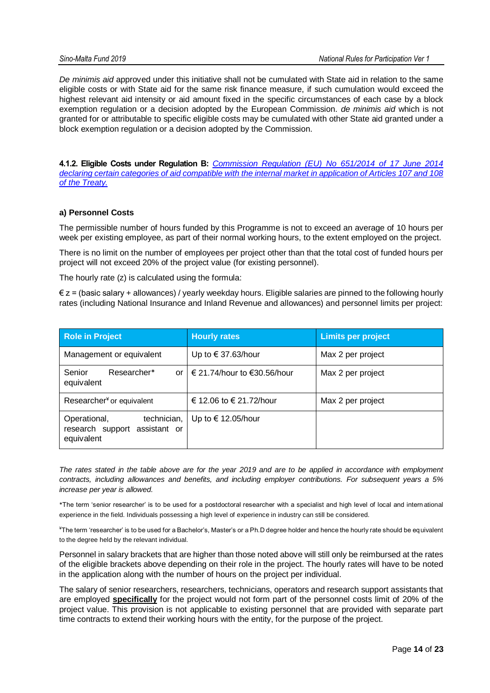*De minimis aid* approved under this initiative shall not be cumulated with State aid in relation to the same eligible costs or with State aid for the same risk finance measure, if such cumulation would exceed the highest relevant aid intensity or aid amount fixed in the specific circumstances of each case by a block exemption regulation or a decision adopted by the European Commission. *de minimis aid* which is not granted for or attributable to specific eligible costs may be cumulated with other State aid granted under a block exemption regulation or a decision adopted by the Commission.

**4.1.2. Eligible Costs under Regulation B:** *[Commission Regulation \(EU\) No 651/2014 of 17 June 2014](https://eur-lex.europa.eu/legal-content/EN/TXT/PDF/?uri=CELEX:32014R0651&from=EN)  [declaring certain categories of aid compatible with the internal market in application of Articles 107 and](https://eur-lex.europa.eu/legal-content/EN/TXT/PDF/?uri=CELEX:32014R0651&from=EN) 108 [of the Treaty.](https://eur-lex.europa.eu/legal-content/EN/TXT/PDF/?uri=CELEX:32014R0651&from=EN)*

#### **a) Personnel Costs**

The permissible number of hours funded by this Programme is not to exceed an average of 10 hours per week per existing employee, as part of their normal working hours, to the extent employed on the project.

There is no limit on the number of employees per project other than that the total cost of funded hours per project will not exceed 20% of the project value (for existing personnel).

The hourly rate (z) is calculated using the formula:

 $\epsilon$  z = (basic salary + allowances) / yearly weekday hours. Eligible salaries are pinned to the following hourly rates (including National Insurance and Inland Revenue and allowances) and personnel limits per project:

| <b>Role in Project</b>                                                     | <b>Hourly rates</b>                    | <b>Limits per project</b> |
|----------------------------------------------------------------------------|----------------------------------------|---------------------------|
| Management or equivalent                                                   | Up to $\in$ 37.63/hour                 | Max 2 per project         |
| Senior<br>Researcher*<br>equivalent                                        | or $\vert$ € 21.74/hour to €30.56/hour | Max 2 per project         |
| Researcher <sup>¥</sup> or equivalent                                      | € 12.06 to € 21.72/hour                | Max 2 per project         |
| Operational,<br>technician,<br>research support assistant or<br>equivalent | Up to $\in$ 12.05/hour                 |                           |

*The rates stated in the table above are for the year 2019 and are to be applied in accordance with employment contracts, including allowances and benefits, and including employer contributions. For subsequent years a 5% increase per year is allowed.* 

\*The term 'senior researcher' is to be used for a postdoctoral researcher with a specialist and high level of local and international experience in the field. Individuals possessing a high level of experience in industry can still be considered.

¥The term 'researcher' is to be used for a Bachelor's, Master's or a Ph.D degree holder and hence the hourly rate should be equivalent to the degree held by the relevant individual.

Personnel in salary brackets that are higher than those noted above will still only be reimbursed at the rates of the eligible brackets above depending on their role in the project. The hourly rates will have to be noted in the application along with the number of hours on the project per individual.

The salary of senior researchers, researchers, technicians, operators and research support assistants that are employed **specifically** for the project would not form part of the personnel costs limit of 20% of the project value. This provision is not applicable to existing personnel that are provided with separate part time contracts to extend their working hours with the entity, for the purpose of the project.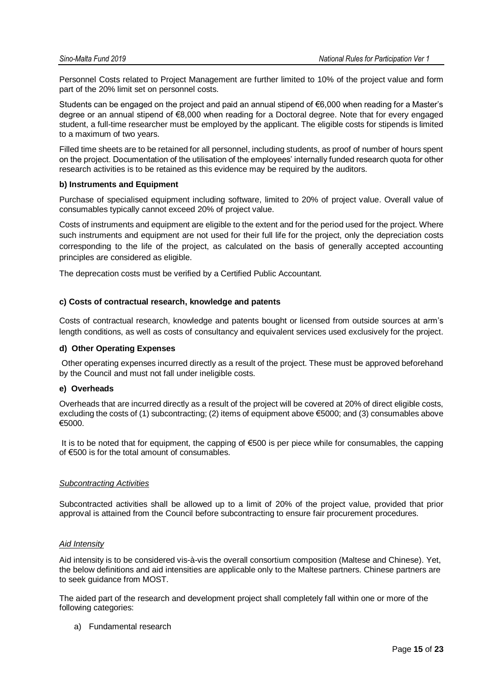Personnel Costs related to Project Management are further limited to 10% of the project value and form part of the 20% limit set on personnel costs.

Students can be engaged on the project and paid an annual stipend of €6,000 when reading for a Master's degree or an annual stipend of €8,000 when reading for a Doctoral degree. Note that for every engaged student, a full-time researcher must be employed by the applicant. The eligible costs for stipends is limited to a maximum of two years.

Filled time sheets are to be retained for all personnel, including students, as proof of number of hours spent on the project. Documentation of the utilisation of the employees' internally funded research quota for other research activities is to be retained as this evidence may be required by the auditors.

#### **b) Instruments and Equipment**

Purchase of specialised equipment including software, limited to 20% of project value. Overall value of consumables typically cannot exceed 20% of project value.

Costs of instruments and equipment are eligible to the extent and for the period used for the project. Where such instruments and equipment are not used for their full life for the project, only the depreciation costs corresponding to the life of the project, as calculated on the basis of generally accepted accounting principles are considered as eligible.

The deprecation costs must be verified by a Certified Public Accountant.

#### **c) Costs of contractual research, knowledge and patents**

Costs of contractual research, knowledge and patents bought or licensed from outside sources at arm's length conditions, as well as costs of consultancy and equivalent services used exclusively for the project.

#### **d) Other Operating Expenses**

Other operating expenses incurred directly as a result of the project. These must be approved beforehand by the Council and must not fall under ineligible costs.

#### **e) Overheads**

Overheads that are incurred directly as a result of the project will be covered at 20% of direct eligible costs, excluding the costs of (1) subcontracting; (2) items of equipment above €5000; and (3) consumables above €5000.

It is to be noted that for equipment, the capping of  $\epsilon$ 500 is per piece while for consumables, the capping of €500 is for the total amount of consumables.

#### *Subcontracting Activities*

Subcontracted activities shall be allowed up to a limit of 20% of the project value, provided that prior approval is attained from the Council before subcontracting to ensure fair procurement procedures.

#### *Aid Intensity*

Aid intensity is to be considered vis-à-vis the overall consortium composition (Maltese and Chinese). Yet, the below definitions and aid intensities are applicable only to the Maltese partners. Chinese partners are to seek guidance from MOST.

The aided part of the research and development project shall completely fall within one or more of the following categories:

a) Fundamental research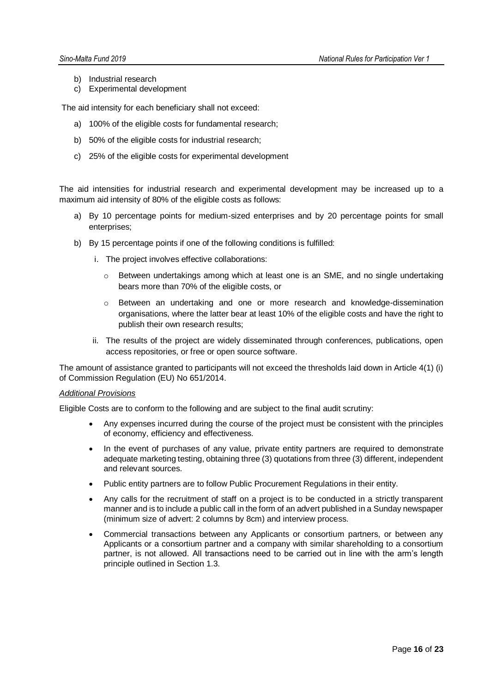- b) Industrial research
- c) Experimental development

The aid intensity for each beneficiary shall not exceed:

- a) 100% of the eligible costs for fundamental research;
- b) 50% of the eligible costs for industrial research;
- c) 25% of the eligible costs for experimental development

The aid intensities for industrial research and experimental development may be increased up to a maximum aid intensity of 80% of the eligible costs as follows:

- a) By 10 percentage points for medium-sized enterprises and by 20 percentage points for small enterprises;
- b) By 15 percentage points if one of the following conditions is fulfilled:
	- i. The project involves effective collaborations:
		- $\circ$  Between undertakings among which at least one is an SME, and no single undertaking bears more than 70% of the eligible costs, or
		- o Between an undertaking and one or more research and knowledge-dissemination organisations, where the latter bear at least 10% of the eligible costs and have the right to publish their own research results;
	- ii. The results of the project are widely disseminated through conferences, publications, open access repositories, or free or open source software.

The amount of assistance granted to participants will not exceed the thresholds laid down in Article 4(1) (i) of Commission Regulation (EU) No 651/2014.

#### *Additional Provisions*

Eligible Costs are to conform to the following and are subject to the final audit scrutiny:

- Any expenses incurred during the course of the project must be consistent with the principles of economy, efficiency and effectiveness.
- In the event of purchases of any value, private entity partners are required to demonstrate adequate marketing testing, obtaining three (3) quotations from three (3) different, independent and relevant sources.
- Public entity partners are to follow Public Procurement Regulations in their entity.
- Any calls for the recruitment of staff on a project is to be conducted in a strictly transparent manner and is to include a public call in the form of an advert published in a Sunday newspaper (minimum size of advert: 2 columns by 8cm) and interview process.
- Commercial transactions between any Applicants or consortium partners, or between any Applicants or a consortium partner and a company with similar shareholding to a consortium partner, is not allowed. All transactions need to be carried out in line with the arm's length principle outlined in Section 1.3.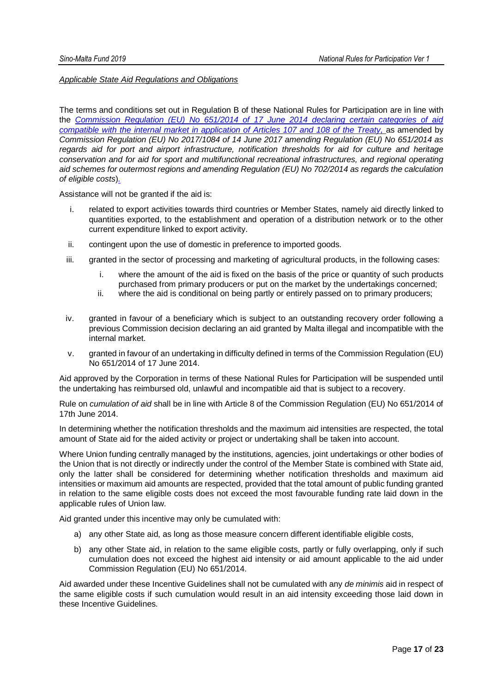#### *Applicable State Aid Regulations and Obligations*

The terms and conditions set out in Regulation B of these National Rules for Participation are in line with the *[Commission Regulation \(EU\) No 651/2014 of 17 June 2014 declaring certain categories of aid](https://eur-lex.europa.eu/legal-content/EN/TXT/PDF/?uri=CELEX:32014R0651&from=EN)  [compatible with the internal market in application of Articles 107 and 108 of the Treaty,](https://eur-lex.europa.eu/legal-content/EN/TXT/PDF/?uri=CELEX:32014R0651&from=EN) as amended by [Commission Regulation \(EU\) No 2017/1084 of 14 June 2017 amending Regulation \(EU\) No 651/2014 as](https://eur-lex.europa.eu/legal-content/EN/TXT/PDF/?uri=CELEX:32014R0651&from=EN)  [regards aid for port and airport infrastructure, notification thresholds for aid for culture and heritage](https://eur-lex.europa.eu/legal-content/EN/TXT/PDF/?uri=CELEX:32014R0651&from=EN)  [conservation and for aid for sport and multifunctional recreational infrastructures, and regional operating](https://eur-lex.europa.eu/legal-content/EN/TXT/PDF/?uri=CELEX:32014R0651&from=EN)  [aid schemes for outermost regions and amending Regulation \(EU\) No 702/2014 as regards the calculation](https://eur-lex.europa.eu/legal-content/EN/TXT/PDF/?uri=CELEX:32014R0651&from=EN)  [of eligible costs](https://eur-lex.europa.eu/legal-content/EN/TXT/PDF/?uri=CELEX:32014R0651&from=EN)*)*.*

Assistance will not be granted if the aid is:

- i. related to export activities towards third countries or Member States, namely aid directly linked to quantities exported, to the establishment and operation of a distribution network or to the other current expenditure linked to export activity.
- ii. contingent upon the use of domestic in preference to imported goods.
- iii. granted in the sector of processing and marketing of agricultural products, in the following cases:
	- i. where the amount of the aid is fixed on the basis of the price or quantity of such products purchased from primary producers or put on the market by the undertakings concerned;
	- ii. where the aid is conditional on being partly or entirely passed on to primary producers;
- iv. granted in favour of a beneficiary which is subject to an outstanding recovery order following a previous Commission decision declaring an aid granted by Malta illegal and incompatible with the internal market.
- v. granted in favour of an undertaking in difficulty defined in terms of the Commission Regulation (EU) No 651/2014 of 17 June 2014.

Aid approved by the Corporation in terms of these National Rules for Participation will be suspended until the undertaking has reimbursed old, unlawful and incompatible aid that is subject to a recovery.

Rule on *cumulation of aid* shall be in line with Article 8 of the Commission Regulation (EU) No 651/2014 of 17th June 2014.

In determining whether the notification thresholds and the maximum aid intensities are respected, the total amount of State aid for the aided activity or project or undertaking shall be taken into account.

Where Union funding centrally managed by the institutions, agencies, joint undertakings or other bodies of the Union that is not directly or indirectly under the control of the Member State is combined with State aid, only the latter shall be considered for determining whether notification thresholds and maximum aid intensities or maximum aid amounts are respected, provided that the total amount of public funding granted in relation to the same eligible costs does not exceed the most favourable funding rate laid down in the applicable rules of Union law.

Aid granted under this incentive may only be cumulated with:

- a) any other State aid, as long as those measure concern different identifiable eligible costs,
- b) any other State aid, in relation to the same eligible costs, partly or fully overlapping, only if such cumulation does not exceed the highest aid intensity or aid amount applicable to the aid under Commission Regulation (EU) No 651/2014.

Aid awarded under these Incentive Guidelines shall not be cumulated with any *de minimis* aid in respect of the same eligible costs if such cumulation would result in an aid intensity exceeding those laid down in these Incentive Guidelines.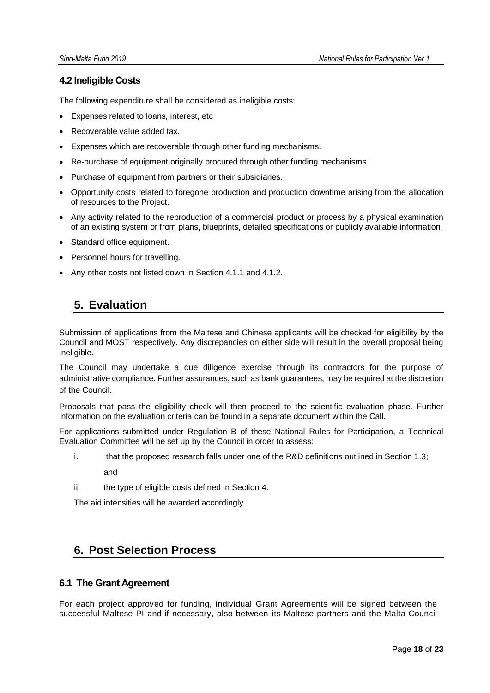## <span id="page-19-0"></span>**4.2 Ineligible Costs**

The following expenditure shall be considered as ineligible costs:

- Expenses related to loans, interest, etc
- Recoverable value added tax.
- Expenses which are recoverable through other funding mechanisms.
- Re-purchase of equipment originally procured through other funding mechanisms.
- Purchase of equipment from partners or their subsidiaries.
- Opportunity costs related to foregone production and production downtime arising from the allocation of resources to the Project.
- Any activity related to the reproduction of a commercial product or process by a physical examination of an existing system or from plans, blueprints, detailed specifications or publicly available information.
- Standard office equipment.
- Personnel hours for travelling.
- Any other costs not listed down in Section 4.1.1 and 4.1.2.

## <span id="page-19-1"></span>**5. Evaluation**

Submission of applications from the Maltese and Chinese applicants will be checked for eligibility by the Council and MOST respectively. Any discrepancies on either side will result in the overall proposal being ineligible.

The Council may undertake a due diligence exercise through its contractors for the purpose of administrative compliance. Further assurances, such as bank guarantees, may be required at the discretion of the Council.

Proposals that pass the eligibility check will then proceed to the scientific evaluation phase. Further information on the evaluation criteria can be found in a separate document within the Call.

For applications submitted under Regulation B of these National Rules for Participation, a Technical Evaluation Committee will be set up by the Council in order to assess:

i. that the proposed research falls under one of the R&D definitions outlined in Section 1.3;

and

ii. the type of eligible costs defined in Section 4.

The aid intensities will be awarded accordingly.

## <span id="page-19-2"></span>**6. Post Selection Process**

#### <span id="page-19-3"></span>**6.1 The Grant Agreement**

For each project approved for funding, individual Grant Agreements will be signed between the successful Maltese PI and if necessary, also between its Maltese partners and the Malta Council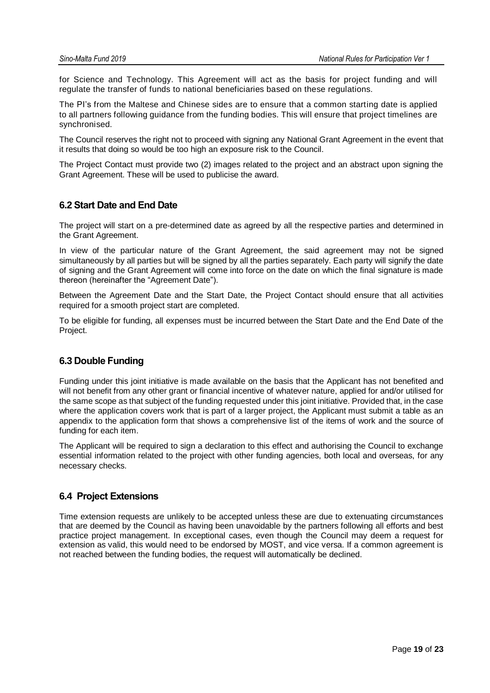for Science and Technology. This Agreement will act as the basis for project funding and will regulate the transfer of funds to national beneficiaries based on these regulations.

The PI's from the Maltese and Chinese sides are to ensure that a common starting date is applied to all partners following guidance from the funding bodies. This will ensure that project timelines are synchronised.

The Council reserves the right not to proceed with signing any National Grant Agreement in the event that it results that doing so would be too high an exposure risk to the Council.

The Project Contact must provide two (2) images related to the project and an abstract upon signing the Grant Agreement. These will be used to publicise the award.

### <span id="page-20-0"></span>**6.2 Start Date and End Date**

The project will start on a pre-determined date as agreed by all the respective parties and determined in the Grant Agreement.

In view of the particular nature of the Grant Agreement, the said agreement may not be signed simultaneously by all parties but will be signed by all the parties separately. Each party will signify the date of signing and the Grant Agreement will come into force on the date on which the final signature is made thereon (hereinafter the "Agreement Date").

Between the Agreement Date and the Start Date, the Project Contact should ensure that all activities required for a smooth project start are completed.

To be eligible for funding, all expenses must be incurred between the Start Date and the End Date of the Project.

## <span id="page-20-1"></span>**6.3 Double Funding**

Funding under this joint initiative is made available on the basis that the Applicant has not benefited and will not benefit from any other grant or financial incentive of whatever nature, applied for and/or utilised for the same scope as that subject of the funding requested under this joint initiative. Provided that, in the case where the application covers work that is part of a larger project, the Applicant must submit a table as an appendix to the application form that shows a comprehensive list of the items of work and the source of funding for each item.

The Applicant will be required to sign a declaration to this effect and authorising the Council to exchange essential information related to the project with other funding agencies, both local and overseas, for any necessary checks.

## **6.4 Project Extensions**

Time extension requests are unlikely to be accepted unless these are due to extenuating circumstances that are deemed by the Council as having been unavoidable by the partners following all efforts and best practice project management. In exceptional cases, even though the Council may deem a request for extension as valid, this would need to be endorsed by MOST, and vice versa. If a common agreement is not reached between the funding bodies, the request will automatically be declined.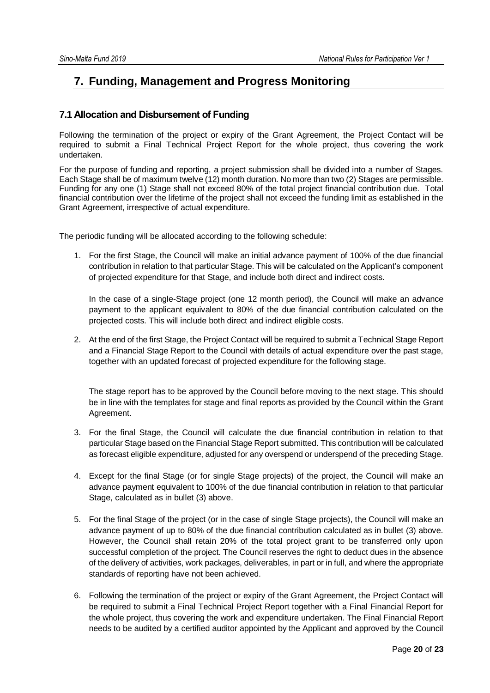## <span id="page-21-0"></span>**7. Funding, Management and Progress Monitoring**

## <span id="page-21-1"></span>**7.1 Allocation and Disbursement of Funding**

Following the termination of the project or expiry of the Grant Agreement, the Project Contact will be required to submit a Final Technical Project Report for the whole project, thus covering the work undertaken.

For the purpose of funding and reporting, a project submission shall be divided into a number of Stages. Each Stage shall be of maximum twelve (12) month duration. No more than two (2) Stages are permissible. Funding for any one (1) Stage shall not exceed 80% of the total project financial contribution due. Total financial contribution over the lifetime of the project shall not exceed the funding limit as established in the Grant Agreement, irrespective of actual expenditure.

The periodic funding will be allocated according to the following schedule:

1. For the first Stage, the Council will make an initial advance payment of 100% of the due financial contribution in relation to that particular Stage. This will be calculated on the Applicant's component of projected expenditure for that Stage, and include both direct and indirect costs.

In the case of a single-Stage project (one 12 month period), the Council will make an advance payment to the applicant equivalent to 80% of the due financial contribution calculated on the projected costs. This will include both direct and indirect eligible costs.

2. At the end of the first Stage, the Project Contact will be required to submit a Technical Stage Report and a Financial Stage Report to the Council with details of actual expenditure over the past stage, together with an updated forecast of projected expenditure for the following stage.

The stage report has to be approved by the Council before moving to the next stage. This should be in line with the templates for stage and final reports as provided by the Council within the Grant Agreement.

- 3. For the final Stage, the Council will calculate the due financial contribution in relation to that particular Stage based on the Financial Stage Report submitted. This contribution will be calculated as forecast eligible expenditure, adjusted for any overspend or underspend of the preceding Stage.
- 4. Except for the final Stage (or for single Stage projects) of the project, the Council will make an advance payment equivalent to 100% of the due financial contribution in relation to that particular Stage, calculated as in bullet (3) above.
- 5. For the final Stage of the project (or in the case of single Stage projects), the Council will make an advance payment of up to 80% of the due financial contribution calculated as in bullet (3) above. However, the Council shall retain 20% of the total project grant to be transferred only upon successful completion of the project. The Council reserves the right to deduct dues in the absence of the delivery of activities, work packages, deliverables, in part or in full, and where the appropriate standards of reporting have not been achieved.
- 6. Following the termination of the project or expiry of the Grant Agreement, the Project Contact will be required to submit a Final Technical Project Report together with a Final Financial Report for the whole project, thus covering the work and expenditure undertaken. The Final Financial Report needs to be audited by a certified auditor appointed by the Applicant and approved by the Council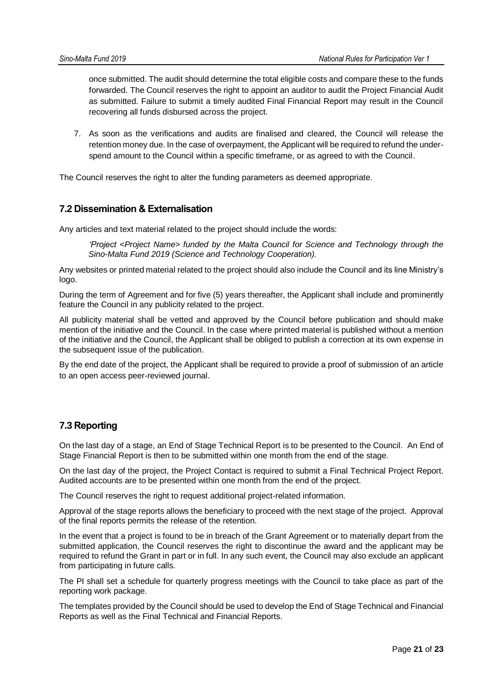once submitted. The audit should determine the total eligible costs and compare these to the funds forwarded. The Council reserves the right to appoint an auditor to audit the Project Financial Audit as submitted. Failure to submit a timely audited Final Financial Report may result in the Council recovering all funds disbursed across the project.

7. As soon as the verifications and audits are finalised and cleared, the Council will release the retention money due. In the case of overpayment, the Applicant will be required to refund the underspend amount to the Council within a specific timeframe, or as agreed to with the Council.

The Council reserves the right to alter the funding parameters as deemed appropriate.

### <span id="page-22-0"></span>**7.2 Dissemination & Externalisation**

Any articles and text material related to the project should include the words:

*'Project <Project Name> funded by the Malta Council for Science and Technology through the Sino-Malta Fund 2019 (Science and Technology Cooperation).* 

Any websites or printed material related to the project should also include the Council and its line Ministry's logo.

During the term of Agreement and for five (5) years thereafter, the Applicant shall include and prominently feature the Council in any publicity related to the project.

All publicity material shall be vetted and approved by the Council before publication and should make mention of the initiative and the Council. In the case where printed material is published without a mention of the initiative and the Council, the Applicant shall be obliged to publish a correction at its own expense in the subsequent issue of the publication.

By the end date of the project, the Applicant shall be required to provide a proof of submission of an article to an open access peer-reviewed journal.

### <span id="page-22-1"></span>**7.3 Reporting**

On the last day of a stage, an End of Stage Technical Report is to be presented to the Council. An End of Stage Financial Report is then to be submitted within one month from the end of the stage.

On the last day of the project, the Project Contact is required to submit a Final Technical Project Report. Audited accounts are to be presented within one month from the end of the project.

The Council reserves the right to request additional project-related information.

Approval of the stage reports allows the beneficiary to proceed with the next stage of the project. Approval of the final reports permits the release of the retention.

In the event that a project is found to be in breach of the Grant Agreement or to materially depart from the submitted application, the Council reserves the right to discontinue the award and the applicant may be required to refund the Grant in part or in full. In any such event, the Council may also exclude an applicant from participating in future calls.

The PI shall set a schedule for quarterly progress meetings with the Council to take place as part of the reporting work package.

The templates provided by the Council should be used to develop the End of Stage Technical and Financial Reports as well as the Final Technical and Financial Reports.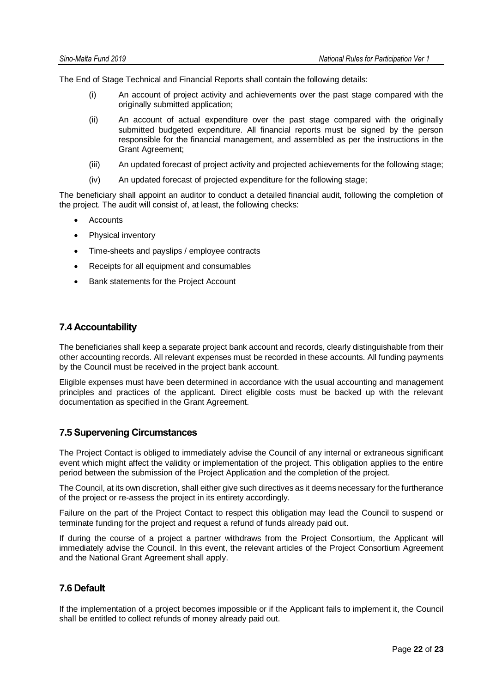The End of Stage Technical and Financial Reports shall contain the following details:

- (i) An account of project activity and achievements over the past stage compared with the originally submitted application;
- (ii) An account of actual expenditure over the past stage compared with the originally submitted budgeted expenditure. All financial reports must be signed by the person responsible for the financial management, and assembled as per the instructions in the Grant Agreement;
- (iii) An updated forecast of project activity and projected achievements for the following stage;
- (iv) An updated forecast of projected expenditure for the following stage;

The beneficiary shall appoint an auditor to conduct a detailed financial audit, following the completion of the project. The audit will consist of, at least, the following checks:

- **Accounts**
- Physical inventory
- Time-sheets and payslips / employee contracts
- Receipts for all equipment and consumables
- Bank statements for the Project Account

#### <span id="page-23-0"></span>**7.4 Accountability**

The beneficiaries shall keep a separate project bank account and records, clearly distinguishable from their other accounting records. All relevant expenses must be recorded in these accounts. All funding payments by the Council must be received in the project bank account.

Eligible expenses must have been determined in accordance with the usual accounting and management principles and practices of the applicant. Direct eligible costs must be backed up with the relevant documentation as specified in the Grant Agreement.

### <span id="page-23-1"></span>**7.5 Supervening Circumstances**

The Project Contact is obliged to immediately advise the Council of any internal or extraneous significant event which might affect the validity or implementation of the project. This obligation applies to the entire period between the submission of the Project Application and the completion of the project.

The Council, at its own discretion, shall either give such directives as it deems necessary for the furtherance of the project or re-assess the project in its entirety accordingly.

Failure on the part of the Project Contact to respect this obligation may lead the Council to suspend or terminate funding for the project and request a refund of funds already paid out.

If during the course of a project a partner withdraws from the Project Consortium, the Applicant will immediately advise the Council. In this event, the relevant articles of the Project Consortium Agreement and the National Grant Agreement shall apply.

## <span id="page-23-2"></span>**7.6 Default**

If the implementation of a project becomes impossible or if the Applicant fails to implement it, the Council shall be entitled to collect refunds of money already paid out.